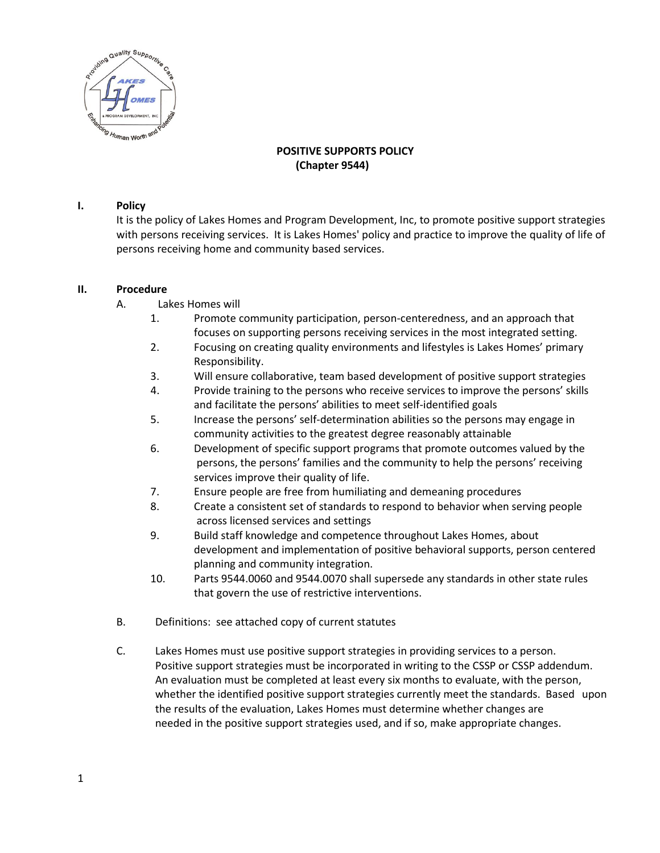

# **POSITIVE SUPPORTS POLICY (Chapter 9544)**

#### **I. Policy**

It is the policy of Lakes Homes and Program Development, Inc, to promote positive support strategies with persons receiving services. It is Lakes Homes' policy and practice to improve the quality of life of persons receiving home and community based services.

#### **II. Procedure**

- A. Lakes Homes will
	- 1. Promote community participation, person-centeredness, and an approach that focuses on supporting persons receiving services in the most integrated setting.
	- 2. Focusing on creating quality environments and lifestyles is Lakes Homes' primary Responsibility.
	- 3. Will ensure collaborative, team based development of positive support strategies
	- 4. Provide training to the persons who receive services to improve the persons' skills and facilitate the persons' abilities to meet self-identified goals
	- 5. Increase the persons' self-determination abilities so the persons may engage in community activities to the greatest degree reasonably attainable
	- 6. Development of specific support programs that promote outcomes valued by the persons, the persons' families and the community to help the persons' receiving services improve their quality of life.
	- 7. Ensure people are free from humiliating and demeaning procedures
	- 8. Create a consistent set of standards to respond to behavior when serving people across licensed services and settings
	- 9. Build staff knowledge and competence throughout Lakes Homes, about development and implementation of positive behavioral supports, person centered planning and community integration.
	- 10. Parts 9544.0060 and 9544.0070 shall supersede any standards in other state rules that govern the use of restrictive interventions.
- B. Definitions: see attached copy of current statutes
- C. Lakes Homes must use positive support strategies in providing services to a person. Positive support strategies must be incorporated in writing to the CSSP or CSSP addendum. An evaluation must be completed at least every six months to evaluate, with the person, whether the identified positive support strategies currently meet the standards. Based upon the results of the evaluation, Lakes Homes must determine whether changes are needed in the positive support strategies used, and if so, make appropriate changes.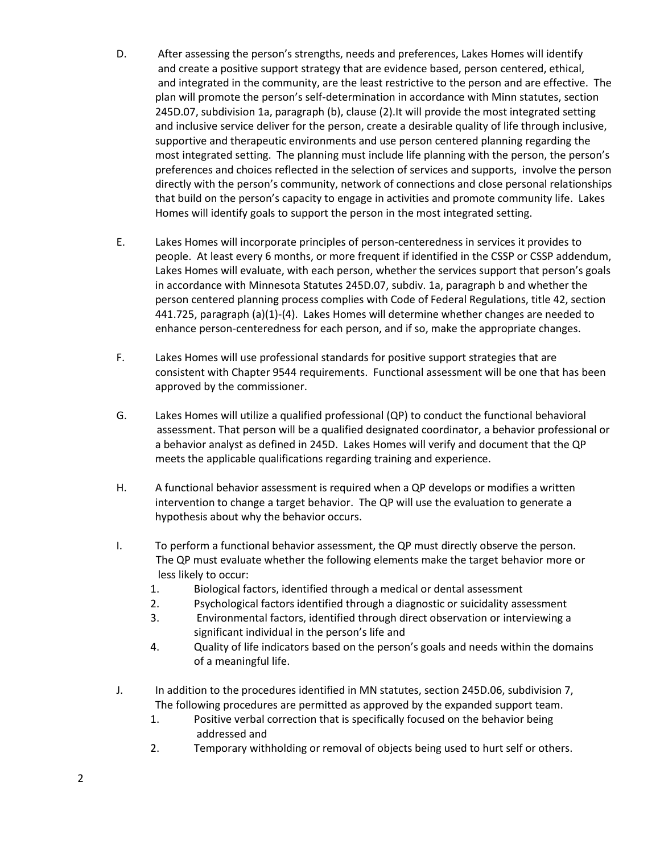- D. After assessing the person's strengths, needs and preferences, Lakes Homes will identify and create a positive support strategy that are evidence based, person centered, ethical, and integrated in the community, are the least restrictive to the person and are effective. The plan will promote the person's self-determination in accordance with Minn statutes, section 245D.07, subdivision 1a, paragraph (b), clause (2).It will provide the most integrated setting and inclusive service deliver for the person, create a desirable quality of life through inclusive, supportive and therapeutic environments and use person centered planning regarding the most integrated setting. The planning must include life planning with the person, the person's preferences and choices reflected in the selection of services and supports, involve the person directly with the person's community, network of connections and close personal relationships that build on the person's capacity to engage in activities and promote community life. Lakes Homes will identify goals to support the person in the most integrated setting.
- E. Lakes Homes will incorporate principles of person-centeredness in services it provides to people. At least every 6 months, or more frequent if identified in the CSSP or CSSP addendum, Lakes Homes will evaluate, with each person, whether the services support that person's goals in accordance with Minnesota Statutes 245D.07, subdiv. 1a, paragraph b and whether the person centered planning process complies with Code of Federal Regulations, title 42, section 441.725, paragraph (a)(1)-(4). Lakes Homes will determine whether changes are needed to enhance person-centeredness for each person, and if so, make the appropriate changes.
- F. Lakes Homes will use professional standards for positive support strategies that are consistent with Chapter 9544 requirements. Functional assessment will be one that has been approved by the commissioner.
- G. Lakes Homes will utilize a qualified professional (QP) to conduct the functional behavioral assessment. That person will be a qualified designated coordinator, a behavior professional or a behavior analyst as defined in 245D. Lakes Homes will verify and document that the QP meets the applicable qualifications regarding training and experience.
- H. A functional behavior assessment is required when a QP develops or modifies a written intervention to change a target behavior. The QP will use the evaluation to generate a hypothesis about why the behavior occurs.
- I. To perform a functional behavior assessment, the QP must directly observe the person. The QP must evaluate whether the following elements make the target behavior more or less likely to occur:
	- 1. Biological factors, identified through a medical or dental assessment
	- 2. Psychological factors identified through a diagnostic or suicidality assessment
	- 3. Environmental factors, identified through direct observation or interviewing a significant individual in the person's life and
	- 4. Quality of life indicators based on the person's goals and needs within the domains of a meaningful life.
- J. In addition to the procedures identified in MN statutes, section 245D.06, subdivision 7, The following procedures are permitted as approved by the expanded support team.
	- 1. Positive verbal correction that is specifically focused on the behavior being addressed and
	- 2. Temporary withholding or removal of objects being used to hurt self or others.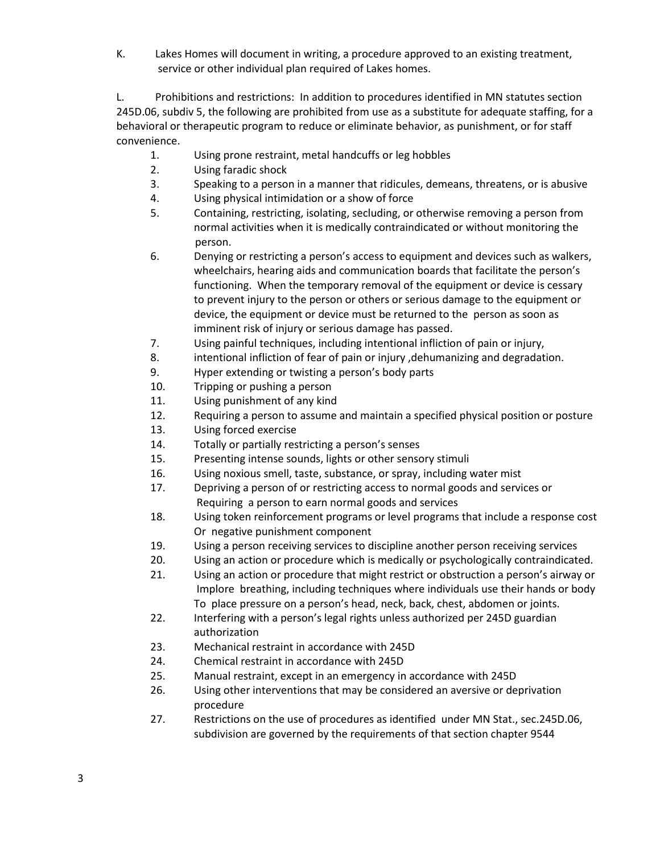K. Lakes Homes will document in writing, a procedure approved to an existing treatment, service or other individual plan required of Lakes homes.

L. Prohibitions and restrictions: In addition to procedures identified in MN statutes section 245D.06, subdiv 5, the following are prohibited from use as a substitute for adequate staffing, for a behavioral or therapeutic program to reduce or eliminate behavior, as punishment, or for staff convenience.

- 1. Using prone restraint, metal handcuffs or leg hobbles
- 2. Using faradic shock
- 3. Speaking to a person in a manner that ridicules, demeans, threatens, or is abusive
- 4. Using physical intimidation or a show of force
- 5. Containing, restricting, isolating, secluding, or otherwise removing a person from normal activities when it is medically contraindicated or without monitoring the person.
- 6. Denying or restricting a person's access to equipment and devices such as walkers, wheelchairs, hearing aids and communication boards that facilitate the person's functioning. When the temporary removal of the equipment or device is cessary to prevent injury to the person or others or serious damage to the equipment or device, the equipment or device must be returned to the person as soon as imminent risk of injury or serious damage has passed.
- 7. Using painful techniques, including intentional infliction of pain or injury,
- 8. intentional infliction of fear of pain or injury ,dehumanizing and degradation.
- 9. Hyper extending or twisting a person's body parts
- 10. Tripping or pushing a person
- 11. Using punishment of any kind
- 12. Requiring a person to assume and maintain a specified physical position or posture
- 13. Using forced exercise
- 14. Totally or partially restricting a person's senses
- 15. Presenting intense sounds, lights or other sensory stimuli
- 16. Using noxious smell, taste, substance, or spray, including water mist
- 17. Depriving a person of or restricting access to normal goods and services or Requiring a person to earn normal goods and services
- 18. Using token reinforcement programs or level programs that include a response cost Or negative punishment component
- 19. Using a person receiving services to discipline another person receiving services
- 20. Using an action or procedure which is medically or psychologically contraindicated.
- 21. Using an action or procedure that might restrict or obstruction a person's airway or Implore breathing, including techniques where individuals use their hands or body To place pressure on a person's head, neck, back, chest, abdomen or joints.
- 22. Interfering with a person's legal rights unless authorized per 245D guardian authorization
- 23. Mechanical restraint in accordance with 245D
- 24. Chemical restraint in accordance with 245D
- 25. Manual restraint, except in an emergency in accordance with 245D
- 26. Using other interventions that may be considered an aversive or deprivation procedure
- 27. Restrictions on the use of procedures as identified under MN Stat., sec.245D.06, subdivision are governed by the requirements of that section chapter 9544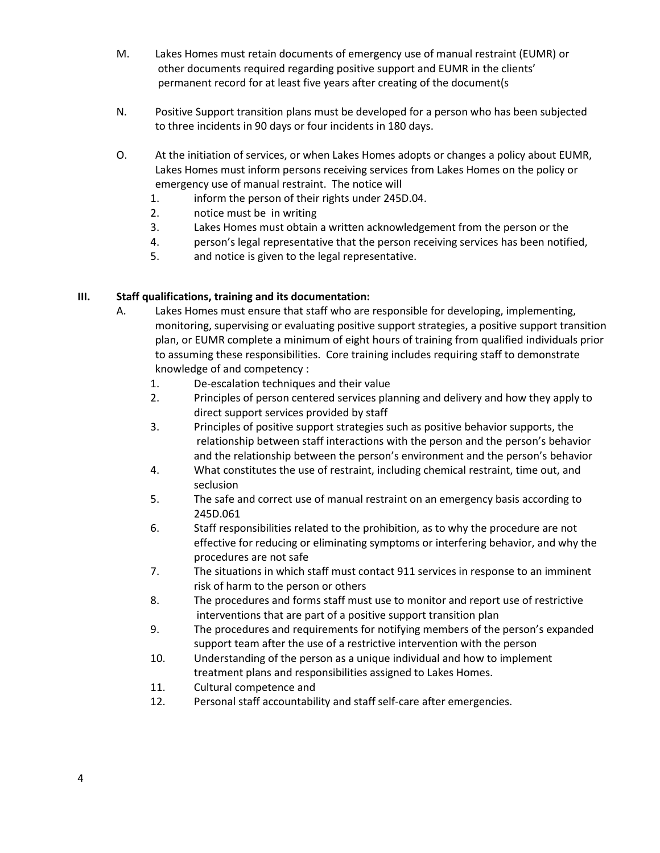- M. Lakes Homes must retain documents of emergency use of manual restraint (EUMR) or other documents required regarding positive support and EUMR in the clients' permanent record for at least five years after creating of the document(s
- N. Positive Support transition plans must be developed for a person who has been subjected to three incidents in 90 days or four incidents in 180 days.
- O. At the initiation of services, or when Lakes Homes adopts or changes a policy about EUMR, Lakes Homes must inform persons receiving services from Lakes Homes on the policy or emergency use of manual restraint. The notice will
	- 1. inform the person of their rights under 245D.04.
	- 2. notice must be in writing
	- 3. Lakes Homes must obtain a written acknowledgement from the person or the
	- 4. person's legal representative that the person receiving services has been notified,
	- 5. and notice is given to the legal representative.

# **III. Staff qualifications, training and its documentation:**

- A. Lakes Homes must ensure that staff who are responsible for developing, implementing, monitoring, supervising or evaluating positive support strategies, a positive support transition plan, or EUMR complete a minimum of eight hours of training from qualified individuals prior to assuming these responsibilities. Core training includes requiring staff to demonstrate knowledge of and competency :
	- 1. De-escalation techniques and their value
	- 2. Principles of person centered services planning and delivery and how they apply to direct support services provided by staff
	- 3. Principles of positive support strategies such as positive behavior supports, the relationship between staff interactions with the person and the person's behavior and the relationship between the person's environment and the person's behavior
	- 4. What constitutes the use of restraint, including chemical restraint, time out, and seclusion
	- 5. The safe and correct use of manual restraint on an emergency basis according to 245D.061
	- 6. Staff responsibilities related to the prohibition, as to why the procedure are not effective for reducing or eliminating symptoms or interfering behavior, and why the procedures are not safe
	- 7. The situations in which staff must contact 911 services in response to an imminent risk of harm to the person or others
	- 8. The procedures and forms staff must use to monitor and report use of restrictive interventions that are part of a positive support transition plan
	- 9. The procedures and requirements for notifying members of the person's expanded support team after the use of a restrictive intervention with the person
	- 10. Understanding of the person as a unique individual and how to implement treatment plans and responsibilities assigned to Lakes Homes.
	- 11. Cultural competence and
	- 12. Personal staff accountability and staff self-care after emergencies.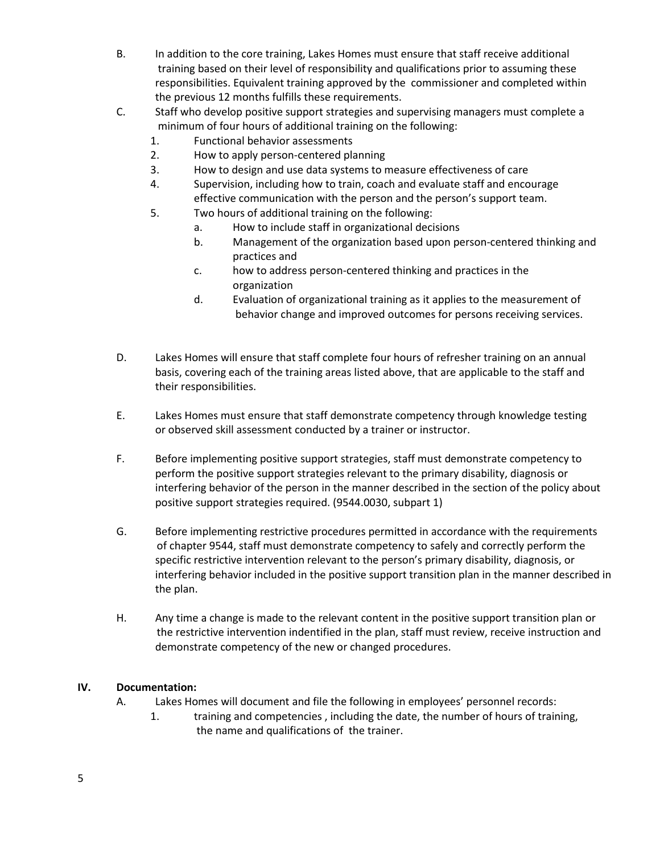- B. In addition to the core training, Lakes Homes must ensure that staff receive additional training based on their level of responsibility and qualifications prior to assuming these responsibilities. Equivalent training approved by the commissioner and completed within the previous 12 months fulfills these requirements.
- C. Staff who develop positive support strategies and supervising managers must complete a minimum of four hours of additional training on the following:
	- 1. Functional behavior assessments
	- 2. How to apply person-centered planning
	- 3. How to design and use data systems to measure effectiveness of care
	- 4. Supervision, including how to train, coach and evaluate staff and encourage effective communication with the person and the person's support team.
	- 5. Two hours of additional training on the following:
		- a. How to include staff in organizational decisions
		- b. Management of the organization based upon person-centered thinking and practices and
		- c. how to address person-centered thinking and practices in the organization
		- d. Evaluation of organizational training as it applies to the measurement of behavior change and improved outcomes for persons receiving services.
- D. Lakes Homes will ensure that staff complete four hours of refresher training on an annual basis, covering each of the training areas listed above, that are applicable to the staff and their responsibilities.
- E. Lakes Homes must ensure that staff demonstrate competency through knowledge testing or observed skill assessment conducted by a trainer or instructor.
- F. Before implementing positive support strategies, staff must demonstrate competency to perform the positive support strategies relevant to the primary disability, diagnosis or interfering behavior of the person in the manner described in the section of the policy about positive support strategies required. (9544.0030, subpart 1)
- G. Before implementing restrictive procedures permitted in accordance with the requirements of chapter 9544, staff must demonstrate competency to safely and correctly perform the specific restrictive intervention relevant to the person's primary disability, diagnosis, or interfering behavior included in the positive support transition plan in the manner described in the plan.
- H. Any time a change is made to the relevant content in the positive support transition plan or the restrictive intervention indentified in the plan, staff must review, receive instruction and demonstrate competency of the new or changed procedures.

# **IV. Documentation:**

- A. Lakes Homes will document and file the following in employees' personnel records:
	- 1. training and competencies , including the date, the number of hours of training, the name and qualifications of the trainer.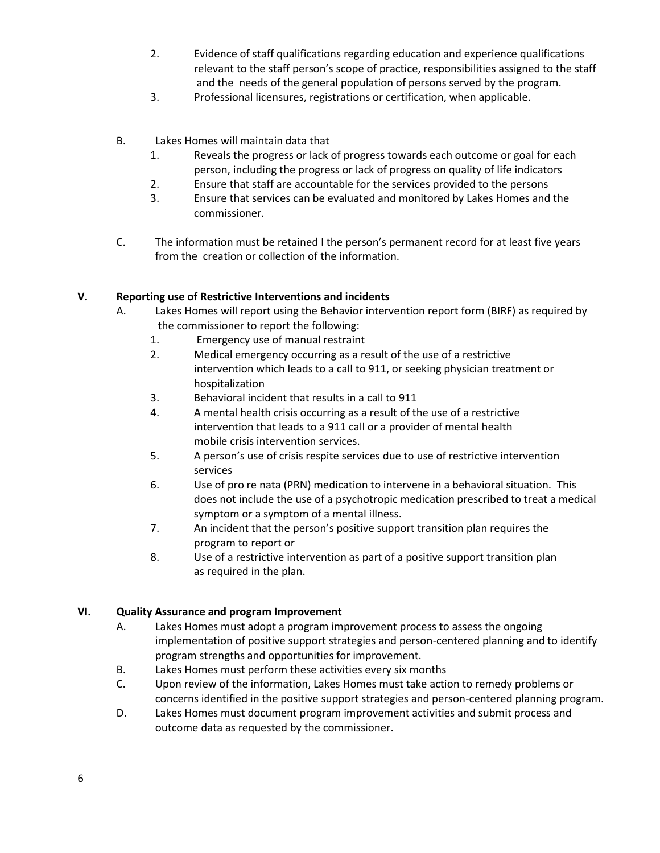- 2. Evidence of staff qualifications regarding education and experience qualifications relevant to the staff person's scope of practice, responsibilities assigned to the staff and the needs of the general population of persons served by the program.
- 3. Professional licensures, registrations or certification, when applicable.
- B. Lakes Homes will maintain data that
	- 1. Reveals the progress or lack of progress towards each outcome or goal for each person, including the progress or lack of progress on quality of life indicators
	- 2. Ensure that staff are accountable for the services provided to the persons
	- 3. Ensure that services can be evaluated and monitored by Lakes Homes and the commissioner.
- C. The information must be retained I the person's permanent record for at least five years from the creation or collection of the information.

# **V. Reporting use of Restrictive Interventions and incidents**

- A. Lakes Homes will report using the Behavior intervention report form (BIRF) as required by the commissioner to report the following:
	- 1. Emergency use of manual restraint
	- 2. Medical emergency occurring as a result of the use of a restrictive intervention which leads to a call to 911, or seeking physician treatment or hospitalization
	- 3. Behavioral incident that results in a call to 911
	- 4. A mental health crisis occurring as a result of the use of a restrictive intervention that leads to a 911 call or a provider of mental health mobile crisis intervention services.
	- 5. A person's use of crisis respite services due to use of restrictive intervention services
	- 6. Use of pro re nata (PRN) medication to intervene in a behavioral situation. This does not include the use of a psychotropic medication prescribed to treat a medical symptom or a symptom of a mental illness.
	- 7. An incident that the person's positive support transition plan requires the program to report or
	- 8. Use of a restrictive intervention as part of a positive support transition plan as required in the plan.

#### **VI. Quality Assurance and program Improvement**

- A. Lakes Homes must adopt a program improvement process to assess the ongoing implementation of positive support strategies and person-centered planning and to identify program strengths and opportunities for improvement.
- B. Lakes Homes must perform these activities every six months
- C. Upon review of the information, Lakes Homes must take action to remedy problems or concerns identified in the positive support strategies and person-centered planning program.
- D. Lakes Homes must document program improvement activities and submit process and outcome data as requested by the commissioner.